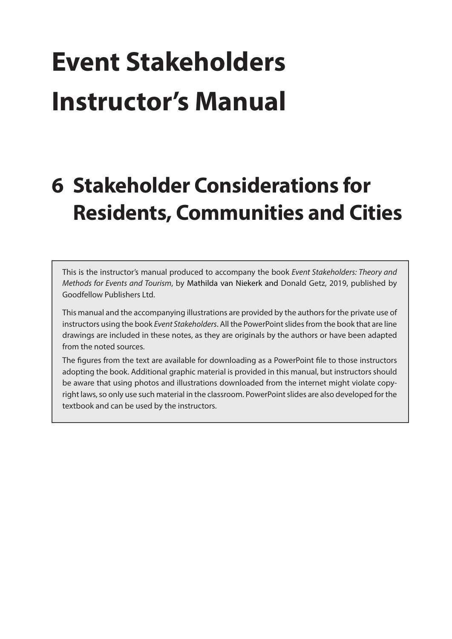# **Event Stakeholders Instructor's Manual**

# **6 Stakeholder Considerations for Residents, Communities and Cities**

This is the instructor's manual produced to accompany the book *Event Stakeholders: Theory and Methods for Events and Tourism*, by Mathilda van Niekerk and Donald Getz, 2019, published by Goodfellow Publishers Ltd.

This manual and the accompanying illustrations are provided by the authors for the private use of instructors using the book *Event Stakeholders*. All the PowerPoint slides from the book that are line drawings are included in these notes, as they are originals by the authors or have been adapted from the noted sources.

The figures from the text are available for downloading as a PowerPoint file to those instructors adopting the book. Additional graphic material is provided in this manual, but instructors should be aware that using photos and illustrations downloaded from the internet might violate copyright laws, so only use such material in the classroom. PowerPoint slides are also developed for the textbook and can be used by the instructors.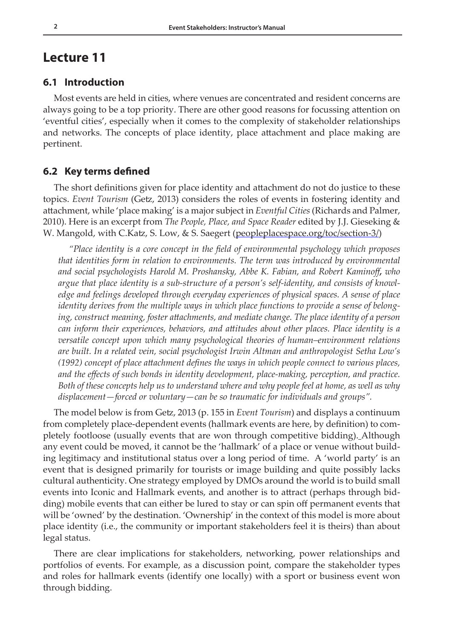### **Lecture 11**

#### **6.1 Introduction**

Most events are held in cities, where venues are concentrated and resident concerns are always going to be a top priority. There are other good reasons for focussing attention on 'eventful cities', especially when it comes to the complexity of stakeholder relationships and networks. The concepts of place identity, place attachment and place making are pertinent.

#### **6.2 Key terms defined**

The short definitions given for place identity and attachment do not do justice to these topics. *Event Tourism* (Getz, 2013) considers the roles of events in fostering identity and attachment, while 'place making' is a major subject in *Eventful Cities* (Richards and Palmer, 2010). Here is an excerpt from *The People, Place, and Space Reader* edited by J.J. Gieseking & W. Mangold, with C.Katz, S. Low, & S. Saegert ([peopleplacespace.org/toc/section-3/](https://peopleplacespace.org/toc/section-3/))

*"Place identity is a core concept in the field of environmental psychology which proposes that identities form in relation to environments. The term was introduced by environmental and social psychologists Harold M. Proshansky, Abbe K. Fabian, and Robert Kaminoff, who argue that place identity is a sub-structure of a person's self-identity, and consists of knowledge and feelings developed through everyday experiences of physical spaces. A sense of place identity derives from the multiple ways in which place functions to provide a sense of belonging, construct meaning, foster attachments, and mediate change. The place identity of a person can inform their experiences, behaviors, and attitudes about other places. Place identity is a versatile concept upon which many psychological theories of human–environment relations are built. In a related vein, social psychologist Irwin Altman and anthropologist Setha Low's (1992) concept of place attachment defines the ways in which people connect to various places, and the effects of such bonds in identity development, place-making, perception, and practice. Both of these concepts help us to understand where and why people feel at home, as well as why displacement—forced or voluntary—can be so traumatic for individuals and groups".*

The model below is from Getz, 2013 (p. 155 in *Event Tourism*) and displays a continuum from completely place-dependent events (hallmark events are here, by definition) to completely footloose (usually events that are won through competitive bidding). Although any event could be moved, it cannot be the 'hallmark' of a place or venue without building legitimacy and institutional status over a long period of time. A 'world party' is an event that is designed primarily for tourists or image building and quite possibly lacks cultural authenticity. One strategy employed by DMOs around the world is to build small events into Iconic and Hallmark events, and another is to attract (perhaps through bidding) mobile events that can either be lured to stay or can spin off permanent events that will be 'owned' by the destination. 'Ownership' in the context of this model is more about place identity (i.e., the community or important stakeholders feel it is theirs) than about legal status.

There are clear implications for stakeholders, networking, power relationships and portfolios of events. For example, as a discussion point, compare the stakeholder types and roles for hallmark events (identify one locally) with a sport or business event won through bidding.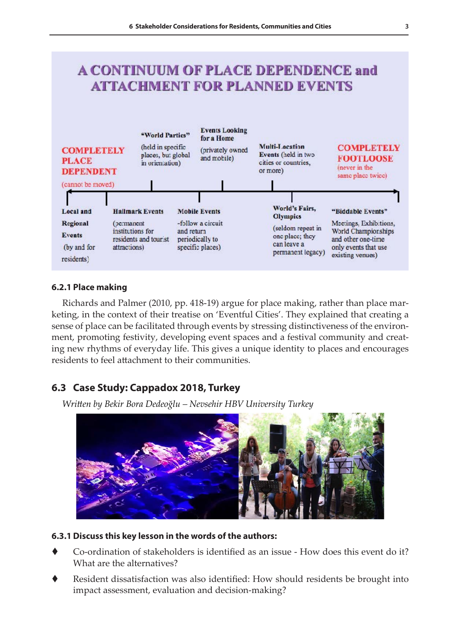# **A CONTINUUM OF PLACE DEPENDENCE and ATTACHMENT FOR PLANNED EVENTS**



#### **6.2.1 Place making**

Richards and Palmer (2010, pp. 418-19) argue for place making, rather than place marketing, in the context of their treatise on 'Eventful Cities'. They explained that creating a sense of place can be facilitated through events by stressing distinctiveness of the environment, promoting festivity, developing event spaces and a festival community and creating new rhythms of everyday life. This gives a unique identity to places and encourages residents to feel attachment to their communities.

#### **6.3 Case Study: Cappadox 2018, Turkey**

*Written by Bekir Bora Dedeoğlu – Nevsehir HBV University Turkey* 



#### **6.3.1 Discuss this key lesson in the words of the authors:**

- Co-ordination of stakeholders is identified as an issue How does this event do it? What are the alternatives?
- Resident dissatisfaction was also identified: How should residents be brought into impact assessment, evaluation and decision-making?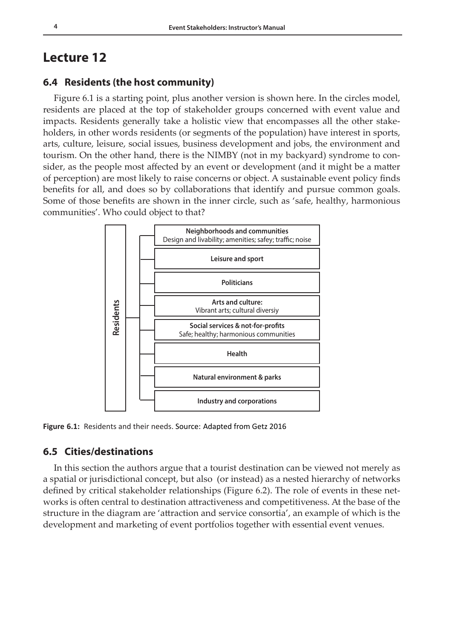## **Lecture 12**

#### **6.4 Residents (the host community)**

Figure 6.1 is a starting point, plus another version is shown here. In the circles model, residents are placed at the top of stakeholder groups concerned with event value and impacts. Residents generally take a holistic view that encompasses all the other stakeholders, in other words residents (or segments of the population) have interest in sports, arts, culture, leisure, social issues, business development and jobs, the environment and tourism. On the other hand, there is the NIMBY (not in my backyard) syndrome to consider, as the people most affected by an event or development (and it might be a matter of perception) are most likely to raise concerns or object. A sustainable event policy finds benefits for all, and does so by collaborations that identify and pursue common goals. Some of those benefits are shown in the inner circle, such as 'safe, healthy, harmonious communities'. Who could object to that?



**Figure 6.1:** Residents and their needs. Source: Adapted from Getz 2016

#### **6.5 Cities/destinations**

In this section the authors argue that a tourist destination can be viewed not merely as a spatial or jurisdictional concept, but also (or instead) as a nested hierarchy of networks defined by critical stakeholder relationships (Figure 6.2). The role of events in these networks is often central to destination attractiveness and competitiveness. At the base of the structure in the diagram are 'attraction and service consortia', an example of which is the development and marketing of event portfolios together with essential event venues.